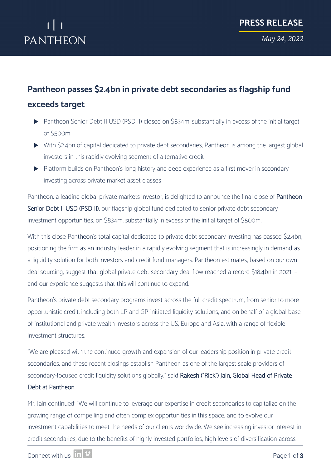# PANTHEON

*May 24, 2022*

### **Pantheon passes \$2.4bn in private debt secondaries as flagship fund exceeds target**

- Pantheon Senior Debt II USD (PSD II) closed on \$834m, substantially in excess of the initial target of \$500m
- With \$2.4bn of capital dedicated to private debt secondaries, Pantheon is among the largest global investors in this rapidly evolving segment of alternative credit
- Platform builds on Pantheon's long history and deep experience as a first mover in secondary investing across private market asset classes

Pantheon, a leading global private markets investor, is delighted to announce the final close of Pantheon Senior Debt II USD (PSD II), our flagship global fund dedicated to senior private debt secondary investment opportunities, on \$834m, substantially in excess of the initial target of \$500m.

With this close Pantheon's total capital dedicated to private debt secondary investing has passed \$2.4bn, positioning the firm as an industry leader in a rapidly evolving segment that is increasingly in demand as a liquidity solution for both investors and credit fund managers. Pantheon estimates, based on our own deal sourcing, suggest that global private debt secondary deal flow reached a record \$18.4bn in 2021<sup>1</sup> and our experience suggests that this will continue to expand.

Pantheon's private debt secondary programs invest across the full credit spectrum, from senior to more opportunistic credit, including both LP and GP-initiated liquidity solutions, and on behalf of a global base of institutional and private wealth investors across the US, Europe and Asia, with a range of flexible investment structures.

"We are pleased with the continued growth and expansion of our leadership position in private credit secondaries, and these recent closings establish Pantheon as one of the largest scale providers of secondary-focused credit liquidity solutions globally," said Rakesh ("Rick") Jain, Global Head of Private

#### Debt at Pantheon.

Mr. Jain continued: "We will continue to leverage our expertise in credit secondaries to capitalize on the growing range of compelling and often complex opportunities in this space, and to evolve our investment capabilities to meet the needs of our clients worldwide. We see increasing investor interest in credit secondaries, due to the benefits of highly invested portfolios, high levels of diversification across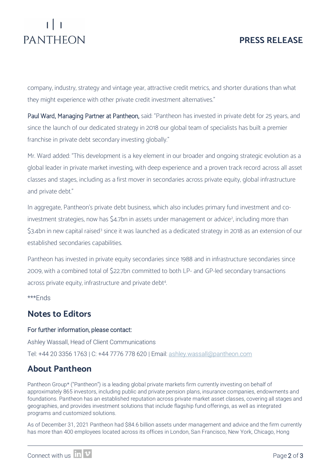# PANTHEON

### **PRESS RELEASE**

company, industry, strategy and vintage year, attractive credit metrics, and shorter durations than what they might experience with other private credit investment alternatives."

Paul Ward, Managing Partner at Pantheon, said: "Pantheon has invested in private debt for 25 years, and since the launch of our dedicated strategy in 2018 our global team of specialists has built a premier franchise in private debt secondary investing globally."

Mr. Ward added: "This development is a key element in our broader and ongoing strategic evolution as a global leader in private market investing, with deep experience and a proven track record across all asset classes and stages, including as a first mover in secondaries across private equity, global infrastructure and private debt."

In aggregate, Pantheon's private debt business, which also includes primary fund investment and co-investment strategies, now has \$4.7bn in assets under management or advice<sup>[2](#page-2-1)</sup>, including more than \$[3](#page-2-2).4bn in new capital raised<sup>3</sup> since it was launched as a dedicated strategy in 2018 as an extension of our established secondaries capabilities.

Pantheon has invested in private equity secondaries since 1988 and in infrastructure secondaries since 2009, with a combined total of \$22.7bn committed to both LP- and GP-led secondary transactions across private equity, infrastructure and private debt<sup>4</sup>.

\*\*\*Ends

#### **Notes to Editors**

#### For further information, please contact:

Ashley Wassall, Head of Client Communications Tel: +44 20 3356 1763 | C: +44 7776 778 620 | Email: [ashley.wassall@pantheon.com](mailto:ashley.wassall@pantheon.com) 

### **About Pantheon**

Pantheon Group\* ("Pantheon") is a leading global private markets firm currently investing on behalf of approximately 865 investors, including public and private pension plans, insurance companies, endowments and foundations. Pantheon has an established reputation across private market asset classes, covering all stages and geographies, and provides investment solutions that include flagship fund offerings, as well as integrated programs and customized solutions.

As of December 31, 2021 Pantheon had \$84.6 billion assets under management and advice and the firm currently has more than 400 employees located across its offices in London, San Francisco, New York, Chicago, Hong